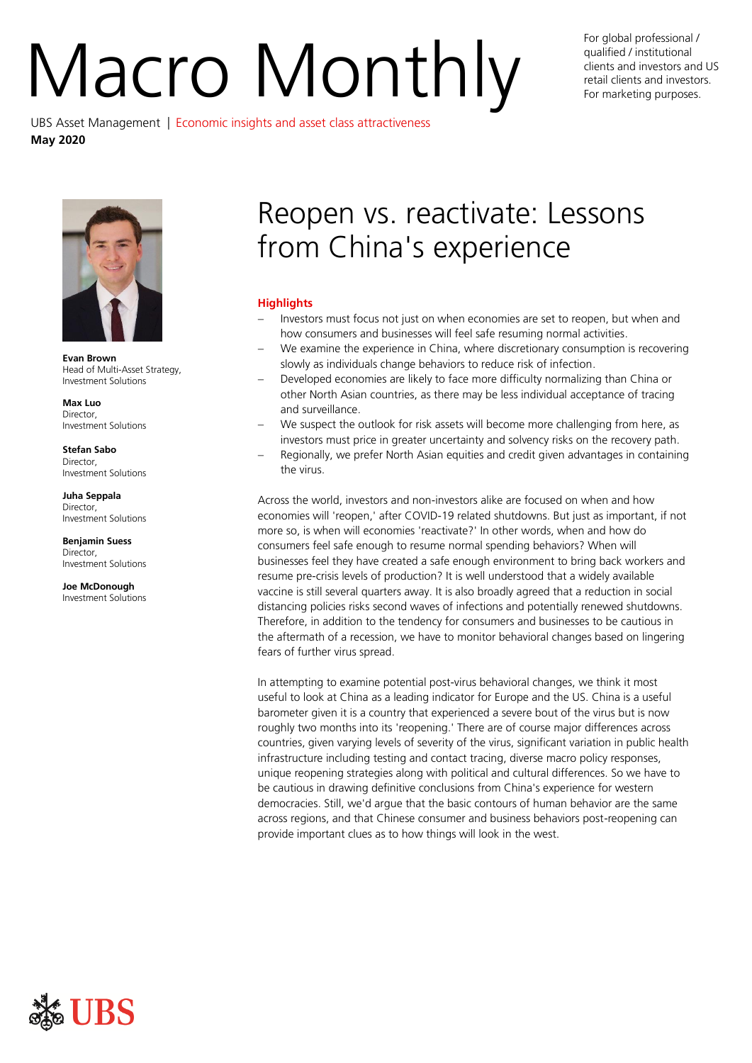# For global professional /<br>qualified / institutional<br>retail clients and investors and<br>For marketing purposes.

qualified / institutional clients and investors and US retail clients and investors. For marketing purposes.

UBS Asset Management | Economic insights and asset class attractiveness **May 2020**



**Evan Brown** Head of Multi-Asset Strategy, Investment Solutions

**Max Luo** Director, Investment Solutions

**Stefan Sabo** Director, Investment Solutions

**Juha Seppala** Director, Investment Solutions

**Benjamin Suess** Director, Investment Solutions

**Joe McDonough** Investment Solutions

# Reopen vs. reactivate: Lessons from China's experience

# **Highlights**

- Investors must focus not just on when economies are set to reopen, but when and how consumers and businesses will feel safe resuming normal activities.
- We examine the experience in China, where discretionary consumption is recovering slowly as individuals change behaviors to reduce risk of infection.
- Developed economies are likely to face more difficulty normalizing than China or other North Asian countries, as there may be less individual acceptance of tracing and surveillance.
- We suspect the outlook for risk assets will become more challenging from here, as investors must price in greater uncertainty and solvency risks on the recovery path.
- Regionally, we prefer North Asian equities and credit given advantages in containing the virus.

Across the world, investors and non-investors alike are focused on when and how economies will 'reopen,' after COVID-19 related shutdowns. But just as important, if not more so, is when will economies 'reactivate?' In other words, when and how do consumers feel safe enough to resume normal spending behaviors? When will businesses feel they have created a safe enough environment to bring back workers and resume pre-crisis levels of production? It is well understood that a widely available vaccine is still several quarters away. It is also broadly agreed that a reduction in social distancing policies risks second waves of infections and potentially renewed shutdowns. Therefore, in addition to the tendency for consumers and businesses to be cautious in the aftermath of a recession, we have to monitor behavioral changes based on lingering fears of further virus spread.

In attempting to examine potential post-virus behavioral changes, we think it most useful to look at China as a leading indicator for Europe and the US. China is a useful barometer given it is a country that experienced a severe bout of the virus but is now roughly two months into its 'reopening.' There are of course major differences across countries, given varying levels of severity of the virus, significant variation in public health infrastructure including testing and contact tracing, diverse macro policy responses, unique reopening strategies along with political and cultural differences. So we have to be cautious in drawing definitive conclusions from China's experience for western democracies. Still, we'd argue that the basic contours of human behavior are the same across regions, and that Chinese consumer and business behaviors post-reopening can provide important clues as to how things will look in the west.

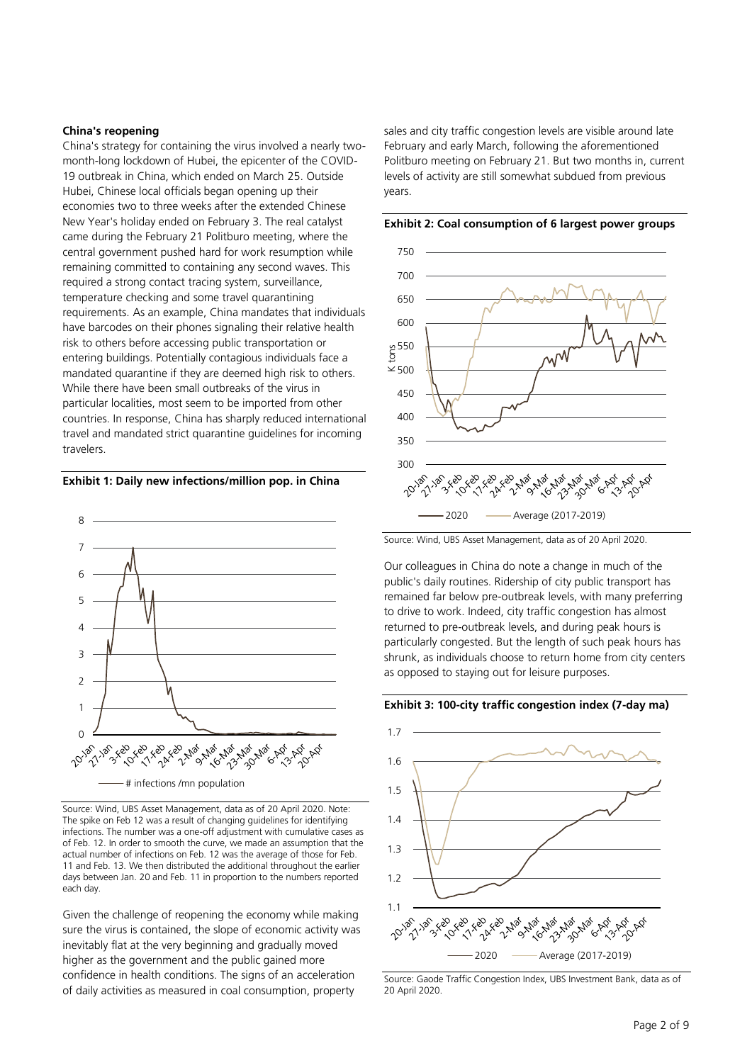# **China's reopening**

China's strategy for containing the virus involved a nearly twomonth-long lockdown of Hubei, the epicenter of the COVID-19 outbreak in China, which ended on March 25. Outside Hubei, Chinese local officials began opening up their economies two to three weeks after the extended Chinese New Year's holiday ended on February 3. The real catalyst came during the February 21 Politburo meeting, where the central government pushed hard for work resumption while remaining committed to containing any second waves. This required a strong contact tracing system, surveillance, temperature checking and some travel quarantining requirements. As an example, China mandates that individuals have barcodes on their phones signaling their relative health risk to others before accessing public transportation or entering buildings. Potentially contagious individuals face a mandated quarantine if they are deemed high risk to others. While there have been small outbreaks of the virus in particular localities, most seem to be imported from other countries. In response, China has sharply reduced international travel and mandated strict quarantine guidelines for incoming travelers.

# **Exhibit 1: Daily new infections/million pop. in China**



Source: Wind, UBS Asset Management, data as of 20 April 2020. Note: The spike on Feb 12 was a result of changing guidelines for identifying infections. The number was a one-off adjustment with cumulative cases as of Feb. 12. In order to smooth the curve, we made an assumption that the actual number of infections on Feb. 12 was the average of those for Feb. 11 and Feb. 13. We then distributed the additional throughout the earlier days between Jan. 20 and Feb. 11 in proportion to the numbers reported each day.

Given the challenge of reopening the economy while making sure the virus is contained, the slope of economic activity was inevitably flat at the very beginning and gradually moved higher as the government and the public gained more confidence in health conditions. The signs of an acceleration of daily activities as measured in coal consumption, property

sales and city traffic congestion levels are visible around late February and early March, following the aforementioned Politburo meeting on February 21. But two months in, current levels of activity are still somewhat subdued from previous years.



**Exhibit 2: Coal consumption of 6 largest power groups**

Source: Wind, UBS Asset Management, data as of 20 April 2020.

Our colleagues in China do note a change in much of the public's daily routines. Ridership of city public transport has remained far below pre-outbreak levels, with many preferring to drive to work. Indeed, city traffic congestion has almost returned to pre-outbreak levels, and during peak hours is particularly congested. But the length of such peak hours has shrunk, as individuals choose to return home from city centers as opposed to staying out for leisure purposes.

### **Exhibit 3: 100-city traffic congestion index (7-day ma)**



Source: Gaode Traffic Congestion Index, UBS Investment Bank, data as of 20 April 2020.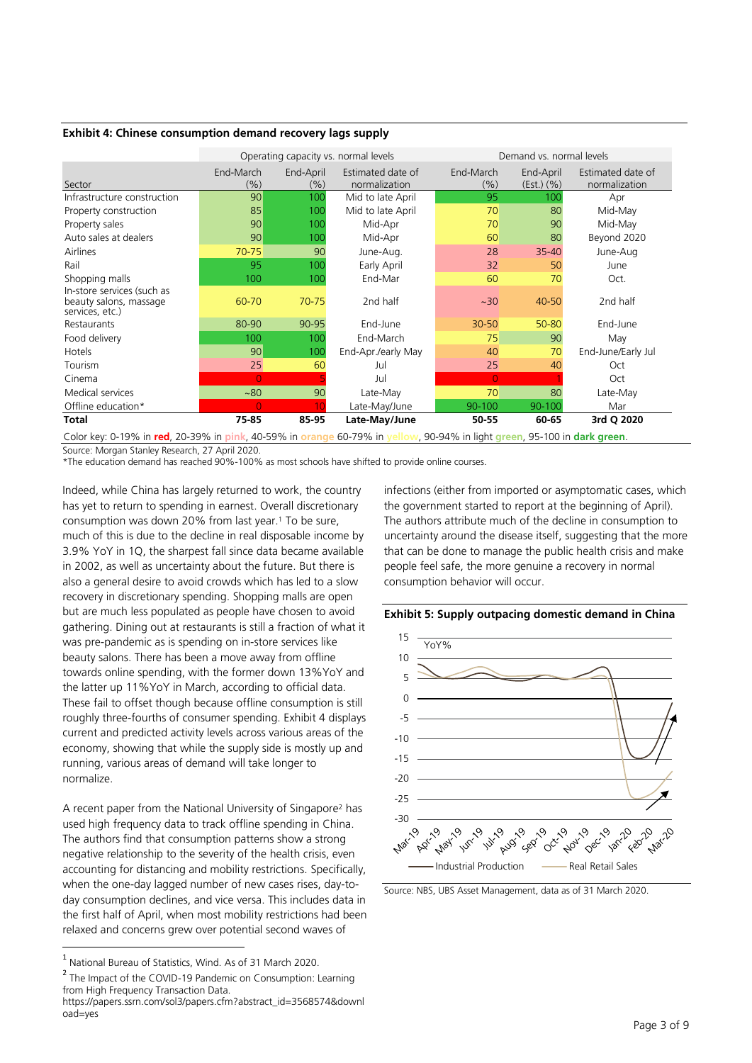#### **Exhibit 4: Chinese consumption demand recovery lags supply**

|                                                                         |                  |                  | Operating capacity vs. normal levels | Demand vs. normal levels |                           |                                    |
|-------------------------------------------------------------------------|------------------|------------------|--------------------------------------|--------------------------|---------------------------|------------------------------------|
| Sector                                                                  | End-March<br>(%) | End-April<br>(%) | Estimated date of<br>normalization   | End-March<br>(%)         | End-April<br>$(Est.)$ (%) | Estimated date of<br>normalization |
| Infrastructure construction                                             | 90               | 100              | Mid to late April                    | 95                       | 100                       | Apr                                |
| Property construction                                                   | 85               | 100              | Mid to late April                    | 70                       | 80                        | Mid-May                            |
| Property sales                                                          | 90               | 100              | Mid-Apr                              | 70                       | 90                        | Mid-May                            |
| Auto sales at dealers                                                   | 90               | 100              | Mid-Apr                              | 60                       | 80                        | Beyond 2020                        |
| Airlines                                                                | $70 - 75$        | 90               | June-Aug.                            | 28                       | $35 - 40$                 | June-Aug                           |
| Rail                                                                    | 95               | 100              | Early April                          | 32                       | 50                        | June                               |
| Shopping malls                                                          | 100              | 100              | End-Mar                              | 60                       | 70                        | Oct.                               |
| In-store services (such as<br>beauty salons, massage<br>services, etc.) | 60-70            | $70 - 75$        | 2nd half                             | ~120                     | 40-50                     | 2nd half                           |
| Restaurants                                                             | 80-90            | 90-95            | Fnd-June                             | $30 - 50$                | 50-80                     | End-June                           |
| Food delivery                                                           | 100              | 100              | End-March                            | 75                       | 90                        | May                                |
| Hotels                                                                  | 90               | 100              | End-Apr./early May                   | 40                       | 70                        | End-June/Early Jul                 |
| Tourism                                                                 | 25               | 60               | Jul                                  | 25                       | 40                        | Oct                                |
| Cinema                                                                  | $\overline{O}$   |                  | Jul                                  | $\overline{0}$           |                           | Oct                                |
| Medical services                                                        | ~180             | 90               | Late-May                             | 70                       | 80                        | Late-May                           |
| Offline education*                                                      | $\overline{O}$   | 10               | Late-May/June                        | 90-100                   | 90-100                    | Mar                                |
| <b>Total</b>                                                            | 75-85            | 85-95            | Late-May/June                        | 50-55                    | 60-65                     | 3rd Q 2020                         |

Color key: 0-19% in **red**, 20-39% in **pink**, 40-59% in **orange** 60-79% in **yellow**, 90-94% in light **green**, 95-100 in **dark green**.

Source: Morgan Stanley Research, 27 April 2020.

\*The education demand has reached 90%-100% as most schools have shifted to provide online courses.

Indeed, while China has largely returned to work, the country has yet to return to spending in earnest. Overall discretionary consumption was down 20% from last year.<sup>1</sup> To be sure, much of this is due to the decline in real disposable income by 3.9% YoY in 1Q, the sharpest fall since data became available in 2002, as well as uncertainty about the future. But there is also a general desire to avoid crowds which has led to a slow recovery in discretionary spending. Shopping malls are open but are much less populated as people have chosen to avoid gathering. Dining out at restaurants is still a fraction of what it was pre-pandemic as is spending on in-store services like beauty salons. There has been a move away from offline towards online spending, with the former down 13%YoY and the latter up 11%YoY in March, according to official data. These fail to offset though because offline consumption is still roughly three-fourths of consumer spending. Exhibit 4 displays current and predicted activity levels across various areas of the economy, showing that while the supply side is mostly up and running, various areas of demand will take longer to normalize.

A recent paper from the National University of Singapore<sup>2</sup> has used high frequency data to track offline spending in China. The authors find that consumption patterns show a strong negative relationship to the severity of the health crisis, even accounting for distancing and mobility restrictions. Specifically, when the one-day lagged number of new cases rises, day-today consumption declines, and vice versa. This includes data in the first half of April, when most mobility restrictions had been relaxed and concerns grew over potential second waves of

infections (either from imported or asymptomatic cases, which the government started to report at the beginning of April). The authors attribute much of the decline in consumption to uncertainty around the disease itself, suggesting that the more that can be done to manage the public health crisis and make people feel safe, the more genuine a recovery in normal consumption behavior will occur.





Source: NBS, UBS Asset Management, data as of 31 March 2020.

 1 National Bureau of Statistics, Wind. As of 31 March 2020.

<sup>&</sup>lt;sup>2</sup> The Impact of the COVID-19 Pandemic on Consumption: Learning from High Frequency Transaction Data.

https://papers.ssrn.com/sol3/papers.cfm?abstract\_id=3568574&downl oad=yes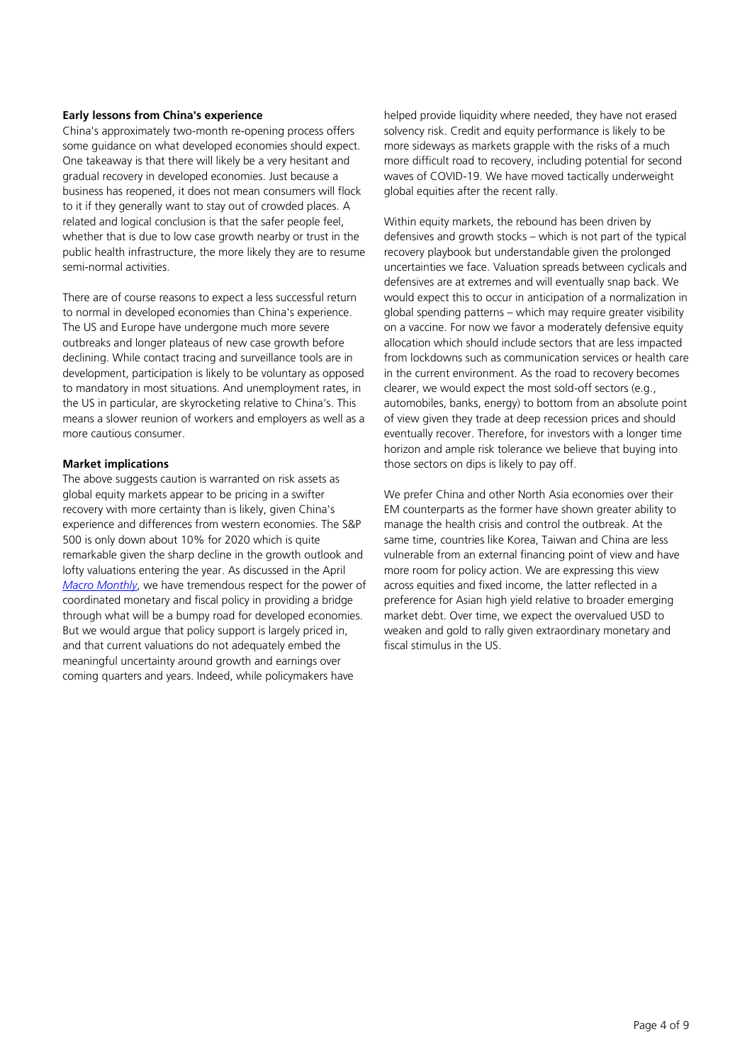# **Early lessons from China's experience**

China's approximately two-month re-opening process offers some guidance on what developed economies should expect. One takeaway is that there will likely be a very hesitant and gradual recovery in developed economies. Just because a business has reopened, it does not mean consumers will flock to it if they generally want to stay out of crowded places. A related and logical conclusion is that the safer people feel, whether that is due to low case growth nearby or trust in the public health infrastructure, the more likely they are to resume semi-normal activities.

There are of course reasons to expect a less successful return to normal in developed economies than China's experience. The US and Europe have undergone much more severe outbreaks and longer plateaus of new case growth before declining. While contact tracing and surveillance tools are in development, participation is likely to be voluntary as opposed to mandatory in most situations. And unemployment rates, in the US in particular, are skyrocketing relative to China's. This means a slower reunion of workers and employers as well as a more cautious consumer.

# **Market implications**

The above suggests caution is warranted on risk assets as global equity markets appear to be pricing in a swifter recovery with more certainty than is likely, given China's experience and differences from western economies. The S&P 500 is only down about 10% for 2020 which is quite remarkable given the sharp decline in the growth outlook and lofty valuations entering the year. As discussed in the April *[Macro Monthly](https://www.ubs.com/global/en/asset-management/insights/asset-class-research/asset-allocation/2020/04-macro-monthly.html)*, we have tremendous respect for the power of coordinated monetary and fiscal policy in providing a bridge through what will be a bumpy road for developed economies. But we would argue that policy support is largely priced in, and that current valuations do not adequately embed the meaningful uncertainty around growth and earnings over coming quarters and years. Indeed, while policymakers have

helped provide liquidity where needed, they have not erased solvency risk. Credit and equity performance is likely to be more sideways as markets grapple with the risks of a much more difficult road to recovery, including potential for second waves of COVID-19. We have moved tactically underweight global equities after the recent rally.

Within equity markets, the rebound has been driven by defensives and growth stocks – which is not part of the typical recovery playbook but understandable given the prolonged uncertainties we face. Valuation spreads between cyclicals and defensives are at extremes and will eventually snap back. We would expect this to occur in anticipation of a normalization in global spending patterns – which may require greater visibility on a vaccine. For now we favor a moderately defensive equity allocation which should include sectors that are less impacted from lockdowns such as communication services or health care in the current environment. As the road to recovery becomes clearer, we would expect the most sold-off sectors (e.g., automobiles, banks, energy) to bottom from an absolute point of view given they trade at deep recession prices and should eventually recover. Therefore, for investors with a longer time horizon and ample risk tolerance we believe that buying into those sectors on dips is likely to pay off.

We prefer China and other North Asia economies over their EM counterparts as the former have shown greater ability to manage the health crisis and control the outbreak. At the same time, countries like Korea, Taiwan and China are less vulnerable from an external financing point of view and have more room for policy action. We are expressing this view across equities and fixed income, the latter reflected in a preference for Asian high yield relative to broader emerging market debt. Over time, we expect the overvalued USD to weaken and gold to rally given extraordinary monetary and fiscal stimulus in the US.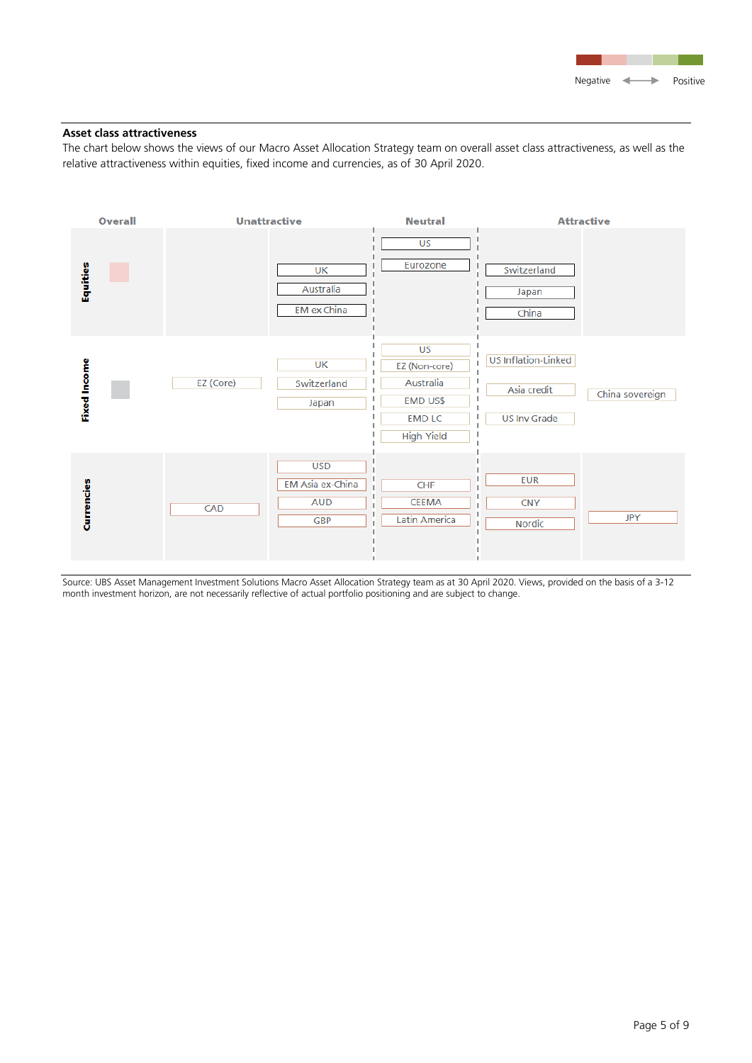

# **Asset class attractiveness**

The chart below shows the views of our Macro Asset Allocation Strategy team on overall asset class attractiveness, as well as the relative attractiveness within equities, fixed income and currencies, as of 30 April 2020.



Source: UBS Asset Management Investment Solutions Macro Asset Allocation Strategy team as at 30 April 2020. Views, provided on the basis of a 3-12 month investment horizon, are not necessarily reflective of actual portfolio positioning and are subject to change.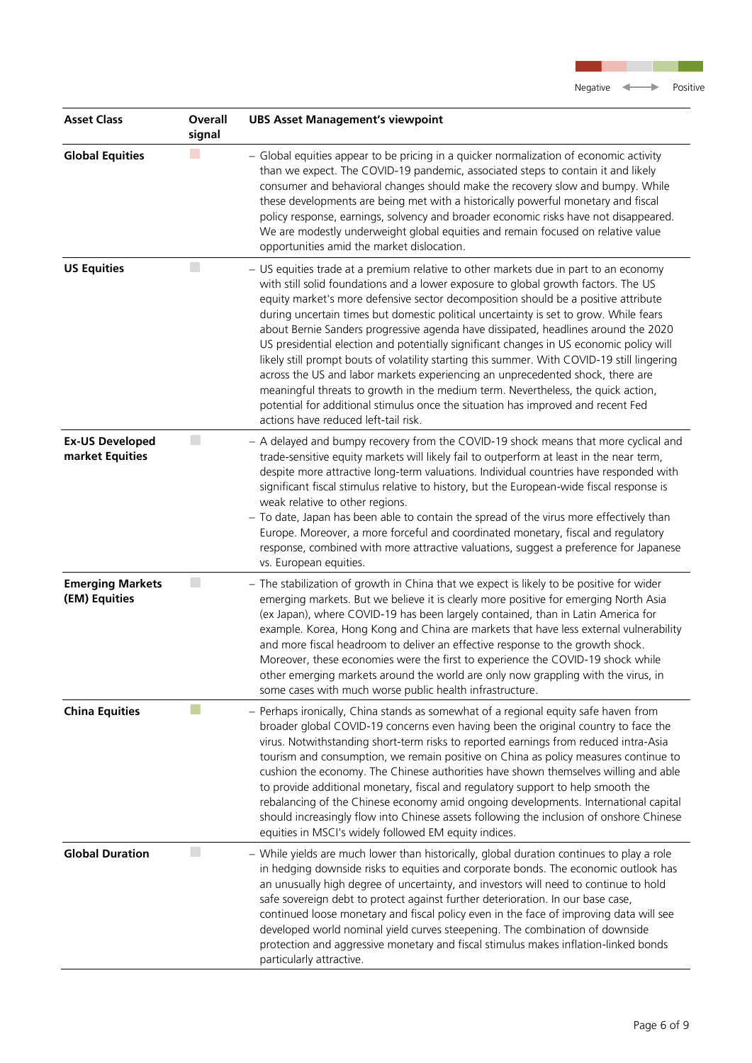| <b>Asset Class</b>                        | Overall<br>signal | <b>UBS Asset Management's viewpoint</b>                                                                                                                                                                                                                                                                                                                                                                                                                                                                                                                                                                                                                                                                                                                                                                                                                                                                                                     |
|-------------------------------------------|-------------------|---------------------------------------------------------------------------------------------------------------------------------------------------------------------------------------------------------------------------------------------------------------------------------------------------------------------------------------------------------------------------------------------------------------------------------------------------------------------------------------------------------------------------------------------------------------------------------------------------------------------------------------------------------------------------------------------------------------------------------------------------------------------------------------------------------------------------------------------------------------------------------------------------------------------------------------------|
| <b>Global Equities</b>                    |                   | - Global equities appear to be pricing in a quicker normalization of economic activity<br>than we expect. The COVID-19 pandemic, associated steps to contain it and likely<br>consumer and behavioral changes should make the recovery slow and bumpy. While<br>these developments are being met with a historically powerful monetary and fiscal<br>policy response, earnings, solvency and broader economic risks have not disappeared.<br>We are modestly underweight global equities and remain focused on relative value<br>opportunities amid the market dislocation.                                                                                                                                                                                                                                                                                                                                                                 |
| <b>US Equities</b>                        | k.                | - US equities trade at a premium relative to other markets due in part to an economy<br>with still solid foundations and a lower exposure to global growth factors. The US<br>equity market's more defensive sector decomposition should be a positive attribute<br>during uncertain times but domestic political uncertainty is set to grow. While fears<br>about Bernie Sanders progressive agenda have dissipated, headlines around the 2020<br>US presidential election and potentially significant changes in US economic policy will<br>likely still prompt bouts of volatility starting this summer. With COVID-19 still lingering<br>across the US and labor markets experiencing an unprecedented shock, there are<br>meaningful threats to growth in the medium term. Nevertheless, the quick action,<br>potential for additional stimulus once the situation has improved and recent Fed<br>actions have reduced left-tail risk. |
| <b>Ex-US Developed</b><br>market Equities | $\Box$            | - A delayed and bumpy recovery from the COVID-19 shock means that more cyclical and<br>trade-sensitive equity markets will likely fail to outperform at least in the near term,<br>despite more attractive long-term valuations. Individual countries have responded with<br>significant fiscal stimulus relative to history, but the European-wide fiscal response is<br>weak relative to other regions.<br>- To date, Japan has been able to contain the spread of the virus more effectively than<br>Europe. Moreover, a more forceful and coordinated monetary, fiscal and regulatory<br>response, combined with more attractive valuations, suggest a preference for Japanese<br>vs. European equities.                                                                                                                                                                                                                                |
| <b>Emerging Markets</b><br>(EM) Equities  | $\Box$            | - The stabilization of growth in China that we expect is likely to be positive for wider<br>emerging markets. But we believe it is clearly more positive for emerging North Asia<br>(ex Japan), where COVID-19 has been largely contained, than in Latin America for<br>example. Korea, Hong Kong and China are markets that have less external vulnerability<br>and more fiscal headroom to deliver an effective response to the growth shock.<br>Moreover, these economies were the first to experience the COVID-19 shock while<br>other emerging markets around the world are only now grappling with the virus, in<br>some cases with much worse public health infrastructure.                                                                                                                                                                                                                                                         |
| <b>China Equities</b>                     |                   | - Perhaps ironically, China stands as somewhat of a regional equity safe haven from<br>broader global COVID-19 concerns even having been the original country to face the<br>virus. Notwithstanding short-term risks to reported earnings from reduced intra-Asia<br>tourism and consumption, we remain positive on China as policy measures continue to<br>cushion the economy. The Chinese authorities have shown themselves willing and able<br>to provide additional monetary, fiscal and regulatory support to help smooth the<br>rebalancing of the Chinese economy amid ongoing developments. International capital<br>should increasingly flow into Chinese assets following the inclusion of onshore Chinese<br>equities in MSCI's widely followed EM equity indices.                                                                                                                                                              |
| <b>Global Duration</b>                    | L.                | - While yields are much lower than historically, global duration continues to play a role<br>in hedging downside risks to equities and corporate bonds. The economic outlook has<br>an unusually high degree of uncertainty, and investors will need to continue to hold<br>safe sovereign debt to protect against further deterioration. In our base case,<br>continued loose monetary and fiscal policy even in the face of improving data will see<br>developed world nominal yield curves steepening. The combination of downside<br>protection and aggressive monetary and fiscal stimulus makes inflation-linked bonds<br>particularly attractive.                                                                                                                                                                                                                                                                                    |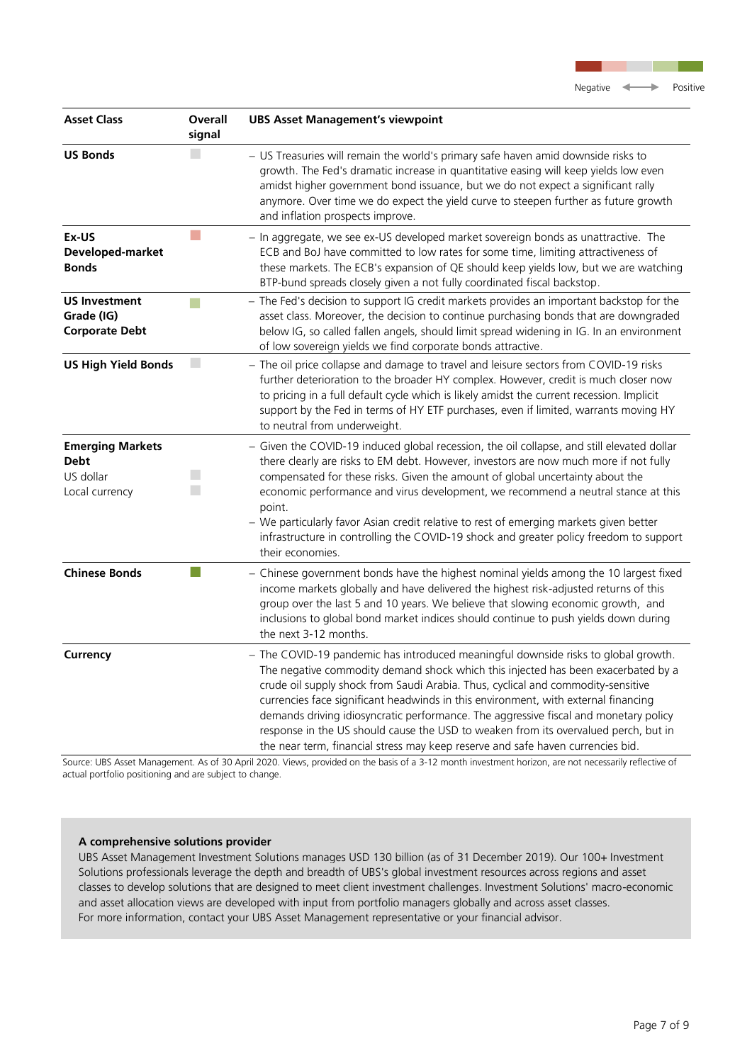| <b>Asset Class</b>                                                    | Overall<br>signal | <b>UBS Asset Management's viewpoint</b>                                                                                                                                                                                                                                                                                                                                                                                                                                                                                                                                                                             |
|-----------------------------------------------------------------------|-------------------|---------------------------------------------------------------------------------------------------------------------------------------------------------------------------------------------------------------------------------------------------------------------------------------------------------------------------------------------------------------------------------------------------------------------------------------------------------------------------------------------------------------------------------------------------------------------------------------------------------------------|
| <b>US Bonds</b>                                                       |                   | - US Treasuries will remain the world's primary safe haven amid downside risks to<br>growth. The Fed's dramatic increase in quantitative easing will keep yields low even<br>amidst higher government bond issuance, but we do not expect a significant rally<br>anymore. Over time we do expect the yield curve to steepen further as future growth<br>and inflation prospects improve.                                                                                                                                                                                                                            |
| Ex-US<br>Developed-market<br><b>Bonds</b>                             |                   | - In aggregate, we see ex-US developed market sovereign bonds as unattractive. The<br>ECB and BoJ have committed to low rates for some time, limiting attractiveness of<br>these markets. The ECB's expansion of QE should keep yields low, but we are watching<br>BTP-bund spreads closely given a not fully coordinated fiscal backstop.                                                                                                                                                                                                                                                                          |
| <b>US Investment</b><br>Grade (IG)<br><b>Corporate Debt</b>           | a a               | - The Fed's decision to support IG credit markets provides an important backstop for the<br>asset class. Moreover, the decision to continue purchasing bonds that are downgraded<br>below IG, so called fallen angels, should limit spread widening in IG. In an environment<br>of low sovereign yields we find corporate bonds attractive.                                                                                                                                                                                                                                                                         |
| <b>US High Yield Bonds</b>                                            | $\mathbf{r}$      | - The oil price collapse and damage to travel and leisure sectors from COVID-19 risks<br>further deterioration to the broader HY complex. However, credit is much closer now<br>to pricing in a full default cycle which is likely amidst the current recession. Implicit<br>support by the Fed in terms of HY ETF purchases, even if limited, warrants moving HY<br>to neutral from underweight.                                                                                                                                                                                                                   |
| <b>Emerging Markets</b><br><b>Debt</b><br>US dollar<br>Local currency | u<br>u            | - Given the COVID-19 induced global recession, the oil collapse, and still elevated dollar<br>there clearly are risks to EM debt. However, investors are now much more if not fully<br>compensated for these risks. Given the amount of global uncertainty about the<br>economic performance and virus development, we recommend a neutral stance at this<br>point.<br>- We particularly favor Asian credit relative to rest of emerging markets given better<br>infrastructure in controlling the COVID-19 shock and greater policy freedom to support<br>their economies.                                         |
| <b>Chinese Bonds</b>                                                  |                   | - Chinese government bonds have the highest nominal yields among the 10 largest fixed<br>income markets globally and have delivered the highest risk-adjusted returns of this<br>group over the last 5 and 10 years. We believe that slowing economic growth, and<br>inclusions to global bond market indices should continue to push yields down during<br>the next 3-12 months.                                                                                                                                                                                                                                   |
| Currency                                                              |                   | - The COVID-19 pandemic has introduced meaningful downside risks to global growth.<br>The negative commodity demand shock which this injected has been exacerbated by a<br>crude oil supply shock from Saudi Arabia. Thus, cyclical and commodity-sensitive<br>currencies face significant headwinds in this environment, with external financing<br>demands driving idiosyncratic performance. The aggressive fiscal and monetary policy<br>response in the US should cause the USD to weaken from its overvalued perch, but in<br>the near term, financial stress may keep reserve and safe haven currencies bid. |

Source: UBS Asset Management. As of 30 April 2020. Views, provided on the basis of a 3-12 month investment horizon, are not necessarily reflective of actual portfolio positioning and are subject to change.

# **A comprehensive solutions provider**

UBS Asset Management Investment Solutions manages USD 130 billion (as of 31 December 2019). Our 100+ Investment Solutions professionals leverage the depth and breadth of UBS's global investment resources across regions and asset classes to develop solutions that are designed to meet client investment challenges. Investment Solutions' macro-economic and asset allocation views are developed with input from portfolio managers globally and across asset classes. For more information, contact your UBS Asset Management representative or your financial advisor.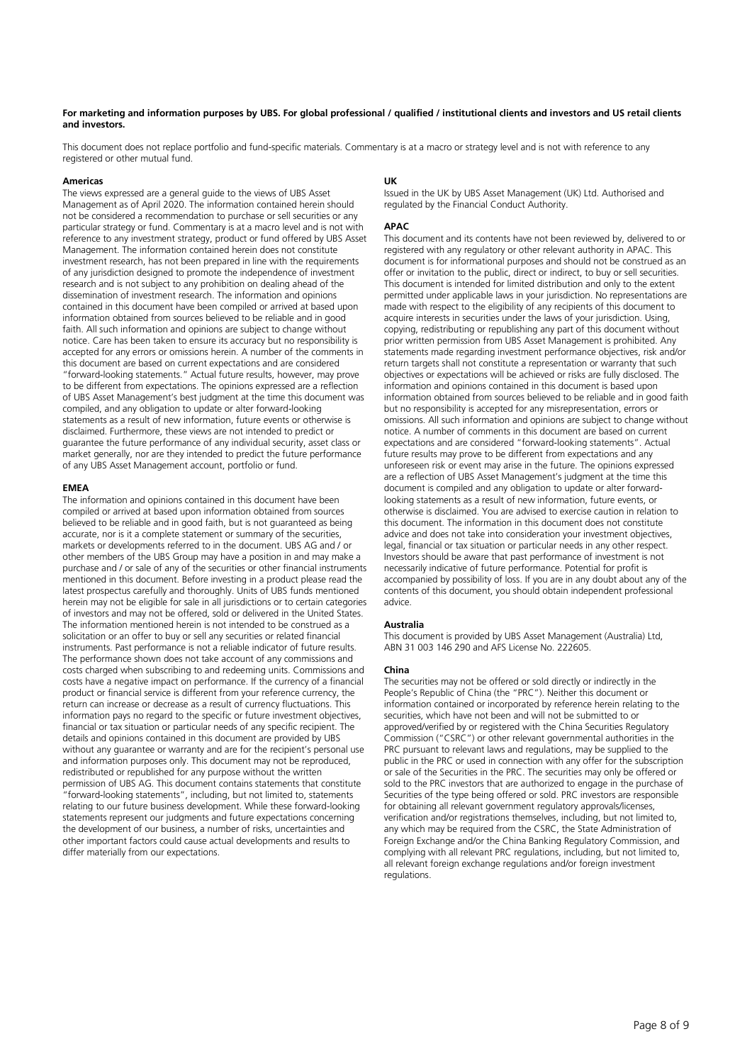#### **For marketing and information purposes by UBS. For global professional / qualified / institutional clients and investors and US retail clients and investors.**

This document does not replace portfolio and fund-specific materials. Commentary is at a macro or strategy level and is not with reference to any registered or other mutual fund.

#### **Americas**

The views expressed are a general guide to the views of UBS Asset Management as of April 2020. The information contained herein should not be considered a recommendation to purchase or sell securities or any particular strategy or fund. Commentary is at a macro level and is not with reference to any investment strategy, product or fund offered by UBS Asset Management. The information contained herein does not constitute investment research, has not been prepared in line with the requirements of any jurisdiction designed to promote the independence of investment research and is not subject to any prohibition on dealing ahead of the dissemination of investment research. The information and opinions contained in this document have been compiled or arrived at based upon information obtained from sources believed to be reliable and in good faith. All such information and opinions are subject to change without notice. Care has been taken to ensure its accuracy but no responsibility is accepted for any errors or omissions herein. A number of the comments in this document are based on current expectations and are considered "forward-looking statements." Actual future results, however, may prove to be different from expectations. The opinions expressed are a reflection of UBS Asset Management's best judgment at the time this document was compiled, and any obligation to update or alter forward-looking statements as a result of new information, future events or otherwise is disclaimed. Furthermore, these views are not intended to predict or guarantee the future performance of any individual security, asset class or market generally, nor are they intended to predict the future performance of any UBS Asset Management account, portfolio or fund.

#### **EMEA**

The information and opinions contained in this document have been compiled or arrived at based upon information obtained from sources believed to be reliable and in good faith, but is not guaranteed as being accurate, nor is it a complete statement or summary of the securities, markets or developments referred to in the document. UBS AG and / or other members of the UBS Group may have a position in and may make a purchase and / or sale of any of the securities or other financial instruments mentioned in this document. Before investing in a product please read the latest prospectus carefully and thoroughly. Units of UBS funds mentioned herein may not be eligible for sale in all jurisdictions or to certain categories of investors and may not be offered, sold or delivered in the United States. The information mentioned herein is not intended to be construed as a solicitation or an offer to buy or sell any securities or related financial instruments. Past performance is not a reliable indicator of future results. The performance shown does not take account of any commissions and costs charged when subscribing to and redeeming units. Commissions and costs have a negative impact on performance. If the currency of a financial product or financial service is different from your reference currency, the return can increase or decrease as a result of currency fluctuations. This information pays no regard to the specific or future investment objectives, financial or tax situation or particular needs of any specific recipient. The details and opinions contained in this document are provided by UBS without any guarantee or warranty and are for the recipient's personal use and information purposes only. This document may not be reproduced, redistributed or republished for any purpose without the written permission of UBS AG. This document contains statements that constitute "forward-looking statements", including, but not limited to, statements relating to our future business development. While these forward-looking statements represent our judgments and future expectations concerning the development of our business, a number of risks, uncertainties and other important factors could cause actual developments and results to differ materially from our expectations.

#### **UK**

Issued in the UK by UBS Asset Management (UK) Ltd. Authorised and regulated by the Financial Conduct Authority.

#### **APAC**

This document and its contents have not been reviewed by, delivered to or registered with any regulatory or other relevant authority in APAC. This document is for informational purposes and should not be construed as an offer or invitation to the public, direct or indirect, to buy or sell securities. This document is intended for limited distribution and only to the extent permitted under applicable laws in your jurisdiction. No representations are made with respect to the eligibility of any recipients of this document to acquire interests in securities under the laws of your jurisdiction. Using, copying, redistributing or republishing any part of this document without prior written permission from UBS Asset Management is prohibited. Any statements made regarding investment performance objectives, risk and/or return targets shall not constitute a representation or warranty that such objectives or expectations will be achieved or risks are fully disclosed. The information and opinions contained in this document is based upon information obtained from sources believed to be reliable and in good faith but no responsibility is accepted for any misrepresentation, errors or omissions. All such information and opinions are subject to change without notice. A number of comments in this document are based on current expectations and are considered "forward-looking statements". Actual future results may prove to be different from expectations and any unforeseen risk or event may arise in the future. The opinions expressed are a reflection of UBS Asset Management's judgment at the time this document is compiled and any obligation to update or alter forwardlooking statements as a result of new information, future events, or otherwise is disclaimed. You are advised to exercise caution in relation to this document. The information in this document does not constitute advice and does not take into consideration your investment objectives, legal, financial or tax situation or particular needs in any other respect. Investors should be aware that past performance of investment is not necessarily indicative of future performance. Potential for profit is accompanied by possibility of loss. If you are in any doubt about any of the contents of this document, you should obtain independent professional advice.

#### **Australia**

This document is provided by UBS Asset Management (Australia) Ltd, ABN 31 003 146 290 and AFS License No. 222605.

#### **China**

The securities may not be offered or sold directly or indirectly in the People's Republic of China (the "PRC"). Neither this document or information contained or incorporated by reference herein relating to the securities, which have not been and will not be submitted to or approved/verified by or registered with the China Securities Regulatory Commission ("CSRC") or other relevant governmental authorities in the PRC pursuant to relevant laws and regulations, may be supplied to the public in the PRC or used in connection with any offer for the subscription or sale of the Securities in the PRC. The securities may only be offered or sold to the PRC investors that are authorized to engage in the purchase of Securities of the type being offered or sold. PRC investors are responsible for obtaining all relevant government regulatory approvals/licenses, verification and/or registrations themselves, including, but not limited to, any which may be required from the CSRC, the State Administration of Foreign Exchange and/or the China Banking Regulatory Commission, and complying with all relevant PRC regulations, including, but not limited to, all relevant foreign exchange regulations and/or foreign investment regulations.